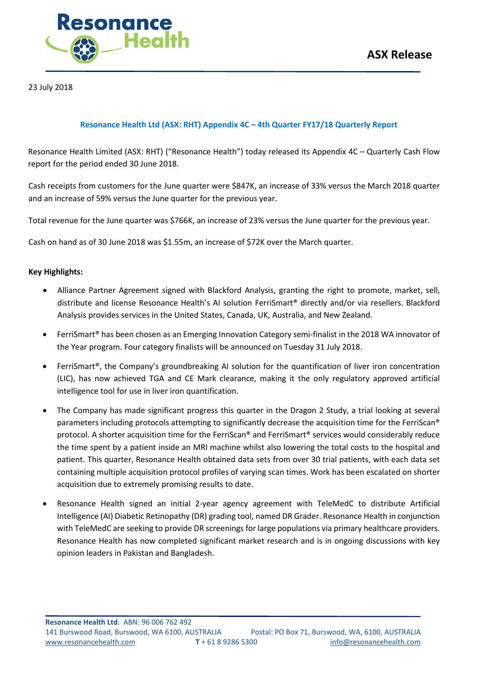

23 July 2018

#### **Resonance Health Ltd (ASX: RHT) Appendix 4C – 4th Quarter FY17/18 Quarterly Report**

Resonance Health Limited (ASX: RHT) ("Resonance Health") today released its Appendix 4C – Quarterly Cash Flow report for the period ended 30 June 2018.

Cash receipts from customers for the June quarter were \$847K, an increase of 33% versus the March 2018 quarter and an increase of 59% versus the June quarter for the previous year.

Total revenue for the June quarter was \$766K, an increase of 23% versus the June quarter for the previous year.

Cash on hand as of 30 June 2018 was \$1.55m, an increase of \$72K over the March quarter.

#### **Key Highlights:**

- Alliance Partner Agreement signed with Blackford Analysis, granting the right to promote, market, sell, distribute and license Resonance Health's AI solution FerriSmart® directly and/or via resellers. Blackford Analysis provides services in the United States, Canada, UK, Australia, and New Zealand.
- FerriSmart® has been chosen as an Emerging Innovation Category semi-finalist in the 2018 WA innovator of the Year program. Four category finalists will be announced on Tuesday 31 July 2018.
- FerriSmart®, the Company's groundbreaking AI solution for the quantification of liver iron concentration (LIC), has now achieved TGA and CE Mark clearance, making it the only regulatory approved artificial intelligence tool for use in liver iron quantification.
- The Company has made significant progress this quarter in the Dragon 2 Study, a trial looking at several parameters including protocols attempting to significantly decrease the acquisition time for the FerriScan® protocol. A shorter acquisition time for the FerriScan® and FerriSmart® services would considerably reduce the time spent by a patient inside an MRI machine whilst also lowering the total costs to the hospital and patient. This quarter, Resonance Health obtained data sets from over 30 trial patients, with each data set containing multiple acquisition protocol profiles of varying scan times. Work has been escalated on shorter acquisition due to extremely promising results to date.
- Resonance Health signed an initial 2-year agency agreement with TeleMedC to distribute Artificial Intelligence (AI) Diabetic Retinopathy (DR) grading tool, named DR Grader. Resonance Health in conjunction with TeleMedC are seeking to provide DR screenings for large populations via primary healthcare providers. Resonance Health has now completed significant market research and is in ongoing discussions with key opinion leaders in Pakistan and Bangladesh.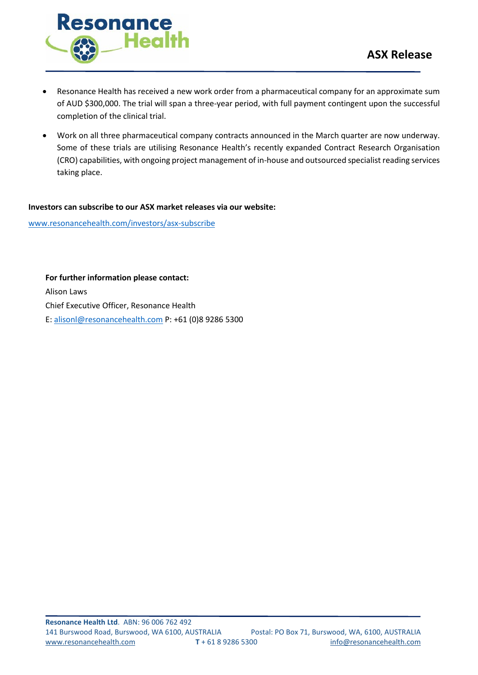



- Resonance Health has received a new work order from a pharmaceutical company for an approximate sum of AUD \$300,000. The trial will span a three-year period, with full payment contingent upon the successful completion of the clinical trial.
- Work on all three pharmaceutical company contracts announced in the March quarter are now underway. Some of these trials are utilising Resonance Health's recently expanded Contract Research Organisation (CRO) capabilities, with ongoing project management of in-house and outsourced specialist reading services taking place.

#### **Investors can subscribe to our ASX market releases via our website:**

[www.resonancehealth.com/investors/asx-subscribe](http://www.resonancehealth.com/investors/asx-subscribe)

**For further information please contact:** Alison Laws Chief Executive Officer, Resonance Health E: [alisonl@resonancehealth.com](mailto:alisonl@resonancehealth.com) P: +61 (0)8 9286 5300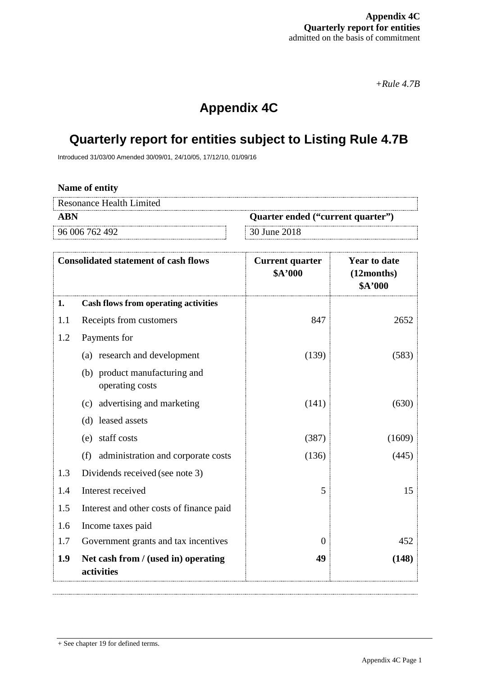*+Rule 4.7B*

# **Appendix 4C**

# **Quarterly report for entities subject to Listing Rule 4.7B**

Introduced 31/03/00 Amended 30/09/01, 24/10/05, 17/12/10, 01/09/16

#### **Name of entity**

| Resonance Health Limited |                                   |
|--------------------------|-----------------------------------|
| ABN                      | Quarter ended ("current quarter") |
| 96 006 762 492           | 30 June 2018                      |

|     | <b>Consolidated statement of cash flows</b>       | <b>Current quarter</b><br>\$A'000 | <b>Year to date</b><br>(12months)<br>\$A'000 |
|-----|---------------------------------------------------|-----------------------------------|----------------------------------------------|
| 1.  | <b>Cash flows from operating activities</b>       |                                   |                                              |
| 1.1 | Receipts from customers                           | 847                               | 2652                                         |
| 1.2 | Payments for                                      |                                   |                                              |
|     | (a) research and development                      | (139)                             | (583)                                        |
|     | (b) product manufacturing and<br>operating costs  |                                   |                                              |
|     | (c) advertising and marketing                     | (141)                             | (630)                                        |
|     | (d) leased assets                                 |                                   |                                              |
|     | staff costs<br>(e)                                | (387)                             | (1609)                                       |
|     | administration and corporate costs<br>(f)         | (136)                             | (445)                                        |
| 1.3 | Dividends received (see note 3)                   |                                   |                                              |
| 1.4 | Interest received                                 | 5                                 | 15                                           |
| 1.5 | Interest and other costs of finance paid          |                                   |                                              |
| 1.6 | Income taxes paid                                 |                                   |                                              |
| 1.7 | Government grants and tax incentives              | $\overline{0}$                    | 452                                          |
| 1.9 | Net cash from / (used in) operating<br>activities | 49                                | (148)                                        |

<sup>+</sup> See chapter 19 for defined terms.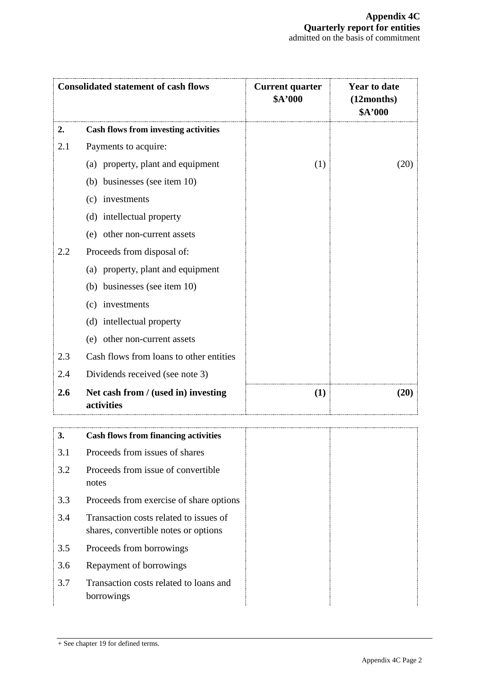|     | <b>Consolidated statement of cash flows</b>                                    | <b>Current quarter</b><br>\$A'000 | <b>Year to date</b><br>(12 months)<br>\$A'000 |
|-----|--------------------------------------------------------------------------------|-----------------------------------|-----------------------------------------------|
| 2.  | <b>Cash flows from investing activities</b>                                    |                                   |                                               |
| 2.1 | Payments to acquire:                                                           |                                   |                                               |
|     | (a) property, plant and equipment                                              | (1)                               | (20)                                          |
|     | (b) businesses (see item 10)                                                   |                                   |                                               |
|     | (c) investments                                                                |                                   |                                               |
|     | (d) intellectual property                                                      |                                   |                                               |
|     | (e) other non-current assets                                                   |                                   |                                               |
| 2.2 | Proceeds from disposal of:                                                     |                                   |                                               |
|     | (a) property, plant and equipment                                              |                                   |                                               |
|     | (b) businesses (see item 10)                                                   |                                   |                                               |
|     | (c) investments                                                                |                                   |                                               |
|     | (d) intellectual property                                                      |                                   |                                               |
|     | (e) other non-current assets                                                   |                                   |                                               |
| 2.3 | Cash flows from loans to other entities                                        |                                   |                                               |
| 2.4 | Dividends received (see note 3)                                                |                                   |                                               |
| 2.6 | Net cash from / (used in) investing<br>activities                              | (1)                               | (20)                                          |
| J.  | <b>Cash flows from financing activities</b>                                    |                                   |                                               |
| 3.1 | Proceeds from issues of shares                                                 |                                   |                                               |
| 3.2 | Proceeds from issue of convertible<br>notes                                    |                                   |                                               |
| 3.3 | Proceeds from exercise of share options                                        |                                   |                                               |
| 3.4 | Transaction costs related to issues of<br>shares, convertible notes or options |                                   |                                               |
| 3.5 | Proceeds from borrowings                                                       |                                   |                                               |

- 3.6 Repayment of borrowings
- 3.7 Transaction costs related to loans and borrowings

<sup>+</sup> See chapter 19 for defined terms.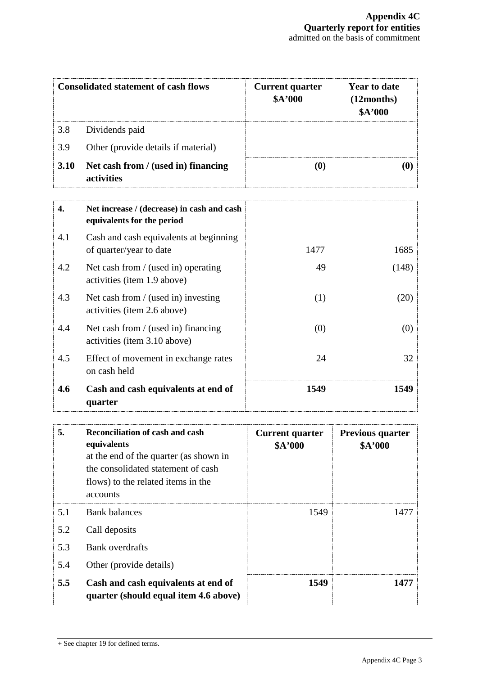| <b>Consolidated statement of cash flows</b> |                                                                          | <b>Current quarter</b><br>\$A'000 | <b>Year to date</b><br>(12 months)<br>\$A'000 |
|---------------------------------------------|--------------------------------------------------------------------------|-----------------------------------|-----------------------------------------------|
| 3.8                                         | Dividends paid                                                           |                                   |                                               |
| 3.9                                         | Other (provide details if material)                                      |                                   |                                               |
| 3.10                                        | Net cash from / (used in) financing<br>activities                        | (0)                               | $\boldsymbol{\left(0\right)}$                 |
| 4.                                          | Net increase / (decrease) in cash and cash<br>equivalents for the period |                                   |                                               |
| 4.1                                         | Cash and cash equivalents at beginning<br>of quarter/year to date        | 1477                              | 1685                                          |
| 4.2                                         | Net cash from / (used in) operating<br>activities (item 1.9 above)       | 49                                | (148)                                         |
| 4.3                                         | Net cash from / (used in) investing<br>activities (item 2.6 above)       | (1)                               | (20)                                          |
| 4.4                                         | Net cash from / (used in) financing<br>activities (item 3.10 above)      | (0)                               | (0)                                           |
| 4.5                                         | Effect of movement in exchange rates<br>on cash held                     | 24                                | 32                                            |
| 4.6                                         | Cash and cash equivalents at end of<br>quarter                           | 1549                              | 1549                                          |

| 5.  | <b>Reconciliation of cash and cash</b><br>equivalents<br>at the end of the quarter (as shown in<br>the consolidated statement of cash<br>flows) to the related items in the<br>accounts | <b>Current quarter</b><br>\$A'000 | <b>Previous quarter</b><br>\$A'000 |
|-----|-----------------------------------------------------------------------------------------------------------------------------------------------------------------------------------------|-----------------------------------|------------------------------------|
| 5.1 | <b>Bank balances</b>                                                                                                                                                                    | 1549                              | 1477                               |
| 5.2 | Call deposits                                                                                                                                                                           |                                   |                                    |
| 5.3 | Bank overdrafts                                                                                                                                                                         |                                   |                                    |
| 5.4 | Other (provide details)                                                                                                                                                                 |                                   |                                    |
| 5.5 | Cash and cash equivalents at end of<br>quarter (should equal item 4.6 above)                                                                                                            | 1549                              | 1477                               |

<sup>+</sup> See chapter 19 for defined terms.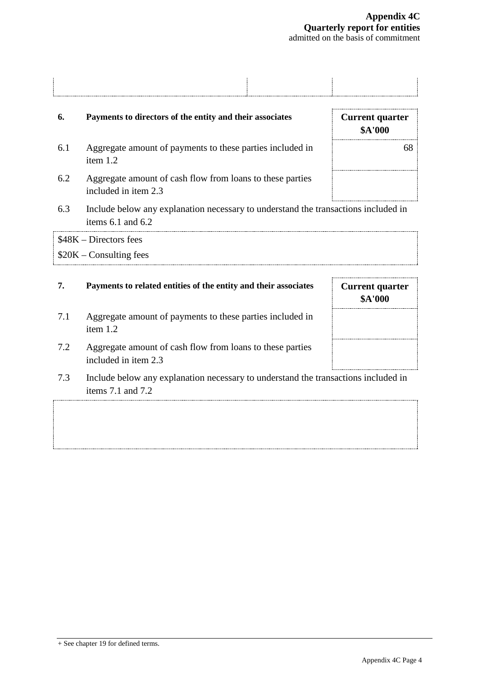| Payments to directors of the entity and their associates | <b>Current quarter</b><br>and the state of the state of<br>-000 |
|----------------------------------------------------------|-----------------------------------------------------------------|

- 6.1 Aggregate amount of payments to these parties included in item 1.2
- 6.2 Aggregate amount of cash flow from loans to these parties included in item 2.3
- 6.3 Include below any explanation necessary to understand the transactions included in items 6.1 and 6.2

\$48K – Directors fees \$20K – Consulting fees

## **7. Payments to related entities of the entity and their associates Current quarter**

- 7.1 Aggregate amount of payments to these parties included in item 1.2
- 7.2 Aggregate amount of cash flow from loans to these parties included in item 2.3
- 7.3 Include below any explanation necessary to understand the transactions included in items 7.1 and 7.2

| ψ. Σ UUU |    |
|----------|----|
|          | 68 |
|          |    |
|          |    |
|          |    |

**\$A'000**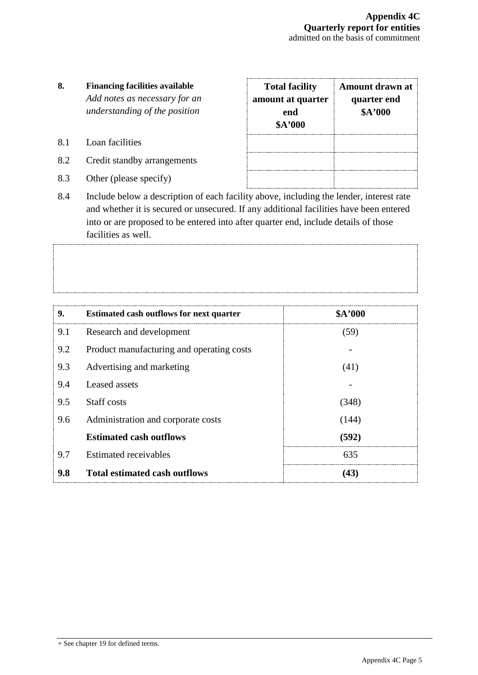## **8. Financing facilities available** *Add notes as necessary for an understanding of the position*

- 8.1 Loan facilities
- 8.2 Credit standby arrangements
- 8.3 Other (please specify)

| <b>Total facility</b><br>amount at quarter<br>end<br>\$A'000 | Amount drawn at<br>quarter end<br>\$A'000 |
|--------------------------------------------------------------|-------------------------------------------|
|                                                              |                                           |

8.4 Include below a description of each facility above, including the lender, interest rate and whether it is secured or unsecured. If any additional facilities have been entered into or are proposed to be entered into after quarter end, include details of those facilities as well.

| 9.  | <b>Estimated cash outflows for next quarter</b> | \$A'000 |
|-----|-------------------------------------------------|---------|
| 9.1 | Research and development                        | (59)    |
| 9.2 | Product manufacturing and operating costs       |         |
| 9.3 | Advertising and marketing                       | (41)    |
| 9.4 | Leased assets                                   |         |
| 9.5 | Staff costs                                     | (348)   |
| 9.6 | Administration and corporate costs              | (144)   |
|     | <b>Estimated cash outflows</b>                  | (592)   |
| 9.7 | Estimated receivables                           | 635     |
| 9.8 | <b>Total estimated cash outflows</b>            | (43)    |